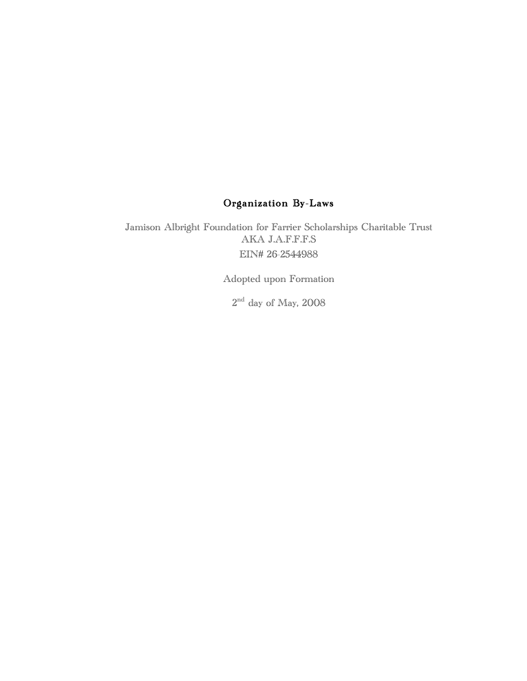# Organization By-Laws

Jamison Albright Foundation for Farrier Scholarships Charitable Trust AKA J.A.F.F.F.S EIN# 26-2544988

Adopted upon Formation

 $2<sup>nd</sup>$  day of May, 2008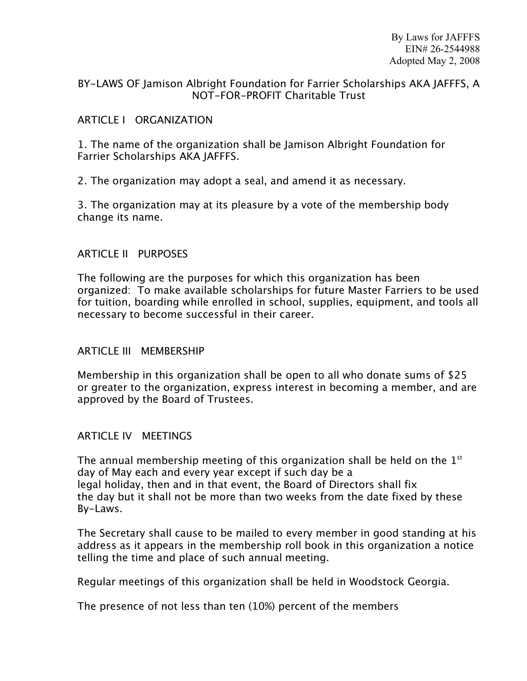## BY-LAWS OF Jamison Albright Foundation for Farrier Scholarships AKA JAFFFS, A NOT-FOR-PROFIT Charitable Trust

## ARTICLE I ORGANIZATION

1. The name of the organization shall be Jamison Albright Foundation for Farrier Scholarships AKA JAFFFS.

2. The organization may adopt a seal, and amend it as necessary.

3. The organization may at its pleasure by a vote of the membership body change its name.

#### ARTICLE II PURPOSES

The following are the purposes for which this organization has been organized: To make available scholarships for future Master Farriers to be used for tuition, boarding while enrolled in school, supplies, equipment, and tools all necessary to become successful in their career.

#### ARTICLE III MEMBERSHIP

Membership in this organization shall be open to all who donate sums of \$25 or greater to the organization, express interest in becoming a member, and are approved by the Board of Trustees.

#### ARTICLE IV MEETINGS

The annual membership meeting of this organization shall be held on the  $1<sup>st</sup>$ day of May each and every year except if such day be a legal holiday, then and in that event, the Board of Directors shall fix the day but it shall not be more than two weeks from the date fixed by these By-Laws.

The Secretary shall cause to be mailed to every member in good standing at his address as it appears in the membership roll book in this organization a notice telling the time and place of such annual meeting.

Regular meetings of this organization shall be held in Woodstock Georgia.

The presence of not less than ten (10%) percent of the members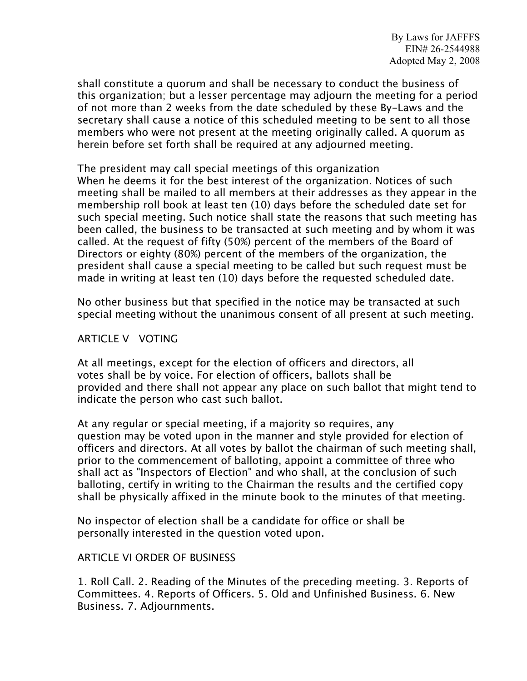shall constitute a quorum and shall be necessary to conduct the business of this organization; but a lesser percentage may adjourn the meeting for a period of not more than 2 weeks from the date scheduled by these By-Laws and the secretary shall cause a notice of this scheduled meeting to be sent to all those members who were not present at the meeting originally called. A quorum as herein before set forth shall be required at any adjourned meeting.

The president may call special meetings of this organization

When he deems it for the best interest of the organization. Notices of such meeting shall be mailed to all members at their addresses as they appear in the membership roll book at least ten (10) days before the scheduled date set for such special meeting. Such notice shall state the reasons that such meeting has been called, the business to be transacted at such meeting and by whom it was called. At the request of fifty (50%) percent of the members of the Board of Directors or eighty (80%) percent of the members of the organization, the president shall cause a special meeting to be called but such request must be made in writing at least ten (10) days before the requested scheduled date.

No other business but that specified in the notice may be transacted at such special meeting without the unanimous consent of all present at such meeting.

### ARTICLE V VOTING

At all meetings, except for the election of officers and directors, all votes shall be by voice. For election of officers, ballots shall be provided and there shall not appear any place on such ballot that might tend to indicate the person who cast such ballot.

At any regular or special meeting, if a majority so requires, any question may be voted upon in the manner and style provided for election of officers and directors. At all votes by ballot the chairman of such meeting shall, prior to the commencement of balloting, appoint a committee of three who shall act as "Inspectors of Election" and who shall, at the conclusion of such balloting, certify in writing to the Chairman the results and the certified copy shall be physically affixed in the minute book to the minutes of that meeting.

No inspector of election shall be a candidate for office or shall be personally interested in the question voted upon.

#### ARTICLE VI ORDER OF BUSINESS

1. Roll Call. 2. Reading of the Minutes of the preceding meeting. 3. Reports of Committees. 4. Reports of Officers. 5. Old and Unfinished Business. 6. New Business. 7. Adjournments.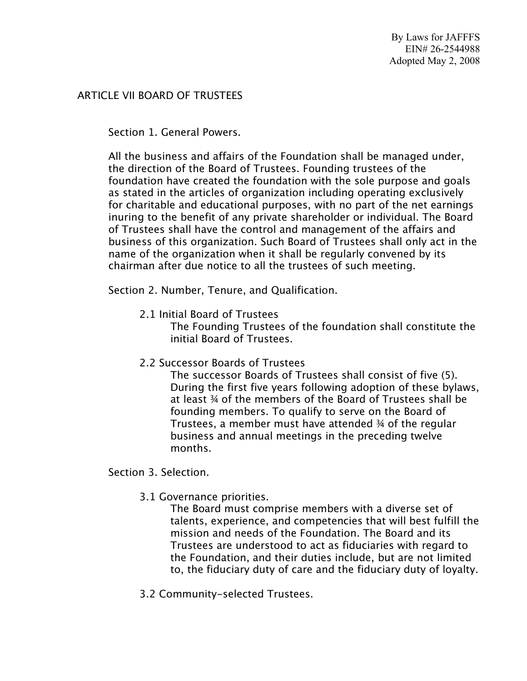By Laws for JAFFFS EIN# 26-2544988 Adopted May 2, 2008

#### ARTICLE VII BOARD OF TRUSTEES

Section 1. General Powers.

All the business and affairs of the Foundation shall be managed under, the direction of the Board of Trustees. Founding trustees of the foundation have created the foundation with the sole purpose and goals as stated in the articles of organization including operating exclusively for charitable and educational purposes, with no part of the net earnings inuring to the benefit of any private shareholder or individual. The Board of Trustees shall have the control and management of the affairs and business of this organization. Such Board of Trustees shall only act in the name of the organization when it shall be regularly convened by its chairman after due notice to all the trustees of such meeting.

Section 2. Number, Tenure, and Qualification.

2.1 Initial Board of Trustees

The Founding Trustees of the foundation shall constitute the initial Board of Trustees.

2.2 Successor Boards of Trustees

The successor Boards of Trustees shall consist of five (5). During the first five years following adoption of these bylaws, at least ¾ of the members of the Board of Trustees shall be founding members. To qualify to serve on the Board of Trustees, a member must have attended ¾ of the regular business and annual meetings in the preceding twelve months.

Section 3. Selection.

3.1 Governance priorities.

The Board must comprise members with a diverse set of talents, experience, and competencies that will best fulfill the mission and needs of the Foundation. The Board and its Trustees are understood to act as fiduciaries with regard to the Foundation, and their duties include, but are not limited to, the fiduciary duty of care and the fiduciary duty of loyalty.

3.2 Community-selected Trustees.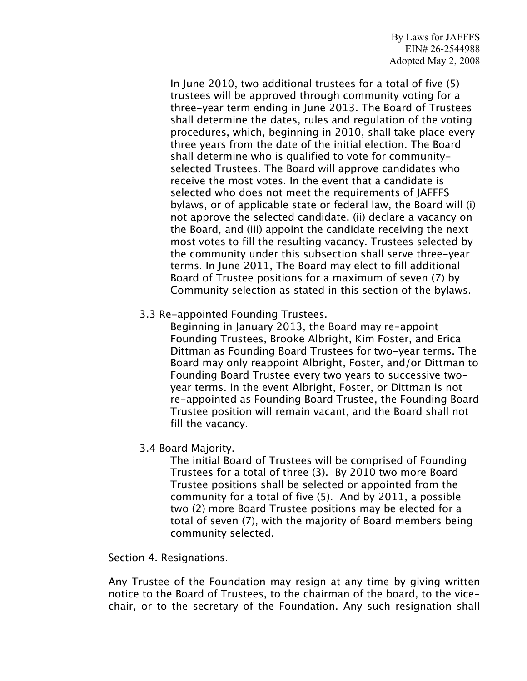In June 2010, two additional trustees for a total of five (5) trustees will be approved through community voting for a three-year term ending in June 2013. The Board of Trustees shall determine the dates, rules and regulation of the voting procedures, which, beginning in 2010, shall take place every three years from the date of the initial election. The Board shall determine who is qualified to vote for communityselected Trustees. The Board will approve candidates who receive the most votes. In the event that a candidate is selected who does not meet the requirements of JAFFFS bylaws, or of applicable state or federal law, the Board will (i) not approve the selected candidate, (ii) declare a vacancy on the Board, and (iii) appoint the candidate receiving the next most votes to fill the resulting vacancy. Trustees selected by the community under this subsection shall serve three-year terms. In June 2011, The Board may elect to fill additional Board of Trustee positions for a maximum of seven (7) by Community selection as stated in this section of the bylaws.

3.3 Re-appointed Founding Trustees.

Beginning in January 2013, the Board may re-appoint Founding Trustees, Brooke Albright, Kim Foster, and Erica Dittman as Founding Board Trustees for two-year terms. The Board may only reappoint Albright, Foster, and/or Dittman to Founding Board Trustee every two years to successive twoyear terms. In the event Albright, Foster, or Dittman is not re-appointed as Founding Board Trustee, the Founding Board Trustee position will remain vacant, and the Board shall not fill the vacancy.

3.4 Board Majority.

The initial Board of Trustees will be comprised of Founding Trustees for a total of three (3). By 2010 two more Board Trustee positions shall be selected or appointed from the community for a total of five (5). And by 2011, a possible two (2) more Board Trustee positions may be elected for a total of seven (7), with the majority of Board members being community selected.

Section 4. Resignations.

Any Trustee of the Foundation may resign at any time by giving written notice to the Board of Trustees, to the chairman of the board, to the vicechair, or to the secretary of the Foundation. Any such resignation shall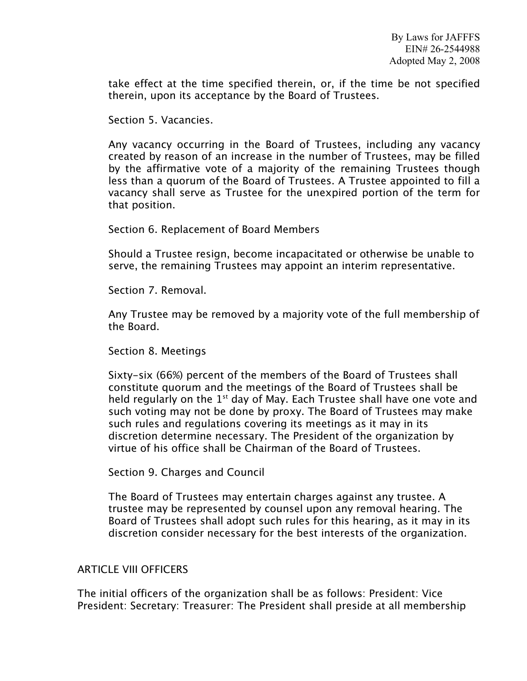take effect at the time specified therein, or, if the time be not specified therein, upon its acceptance by the Board of Trustees.

Section 5. Vacancies.

Any vacancy occurring in the Board of Trustees, including any vacancy created by reason of an increase in the number of Trustees, may be filled by the affirmative vote of a majority of the remaining Trustees though less than a quorum of the Board of Trustees. A Trustee appointed to fill a vacancy shall serve as Trustee for the unexpired portion of the term for that position.

Section 6. Replacement of Board Members

Should a Trustee resign, become incapacitated or otherwise be unable to serve, the remaining Trustees may appoint an interim representative.

Section 7. Removal.

Any Trustee may be removed by a majority vote of the full membership of the Board.

Section 8. Meetings

Sixty-six (66%) percent of the members of the Board of Trustees shall constitute quorum and the meetings of the Board of Trustees shall be held regularly on the  $1<sup>st</sup>$  day of May. Each Trustee shall have one vote and such voting may not be done by proxy. The Board of Trustees may make such rules and regulations covering its meetings as it may in its discretion determine necessary. The President of the organization by virtue of his office shall be Chairman of the Board of Trustees.

Section 9. Charges and Council

The Board of Trustees may entertain charges against any trustee. A trustee may be represented by counsel upon any removal hearing. The Board of Trustees shall adopt such rules for this hearing, as it may in its discretion consider necessary for the best interests of the organization.

#### ARTICLE VIII OFFICERS

The initial officers of the organization shall be as follows: President: Vice President: Secretary: Treasurer: The President shall preside at all membership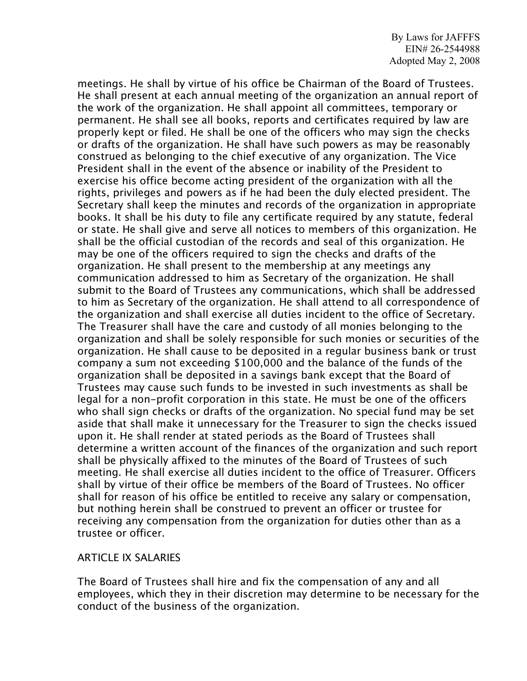meetings. He shall by virtue of his office be Chairman of the Board of Trustees. He shall present at each annual meeting of the organization an annual report of the work of the organization. He shall appoint all committees, temporary or permanent. He shall see all books, reports and certificates required by law are properly kept or filed. He shall be one of the officers who may sign the checks or drafts of the organization. He shall have such powers as may be reasonably construed as belonging to the chief executive of any organization. The Vice President shall in the event of the absence or inability of the President to exercise his office become acting president of the organization with all the rights, privileges and powers as if he had been the duly elected president. The Secretary shall keep the minutes and records of the organization in appropriate books. It shall be his duty to file any certificate required by any statute, federal or state. He shall give and serve all notices to members of this organization. He shall be the official custodian of the records and seal of this organization. He may be one of the officers required to sign the checks and drafts of the organization. He shall present to the membership at any meetings any communication addressed to him as Secretary of the organization. He shall submit to the Board of Trustees any communications, which shall be addressed to him as Secretary of the organization. He shall attend to all correspondence of the organization and shall exercise all duties incident to the office of Secretary. The Treasurer shall have the care and custody of all monies belonging to the organization and shall be solely responsible for such monies or securities of the organization. He shall cause to be deposited in a regular business bank or trust company a sum not exceeding \$100,000 and the balance of the funds of the organization shall be deposited in a savings bank except that the Board of Trustees may cause such funds to be invested in such investments as shall be legal for a non-profit corporation in this state. He must be one of the officers who shall sign checks or drafts of the organization. No special fund may be set aside that shall make it unnecessary for the Treasurer to sign the checks issued upon it. He shall render at stated periods as the Board of Trustees shall determine a written account of the finances of the organization and such report shall be physically affixed to the minutes of the Board of Trustees of such meeting. He shall exercise all duties incident to the office of Treasurer. Officers shall by virtue of their office be members of the Board of Trustees. No officer shall for reason of his office be entitled to receive any salary or compensation, but nothing herein shall be construed to prevent an officer or trustee for receiving any compensation from the organization for duties other than as a trustee or officer.

#### ARTICLE IX SALARIES

The Board of Trustees shall hire and fix the compensation of any and all employees, which they in their discretion may determine to be necessary for the conduct of the business of the organization.